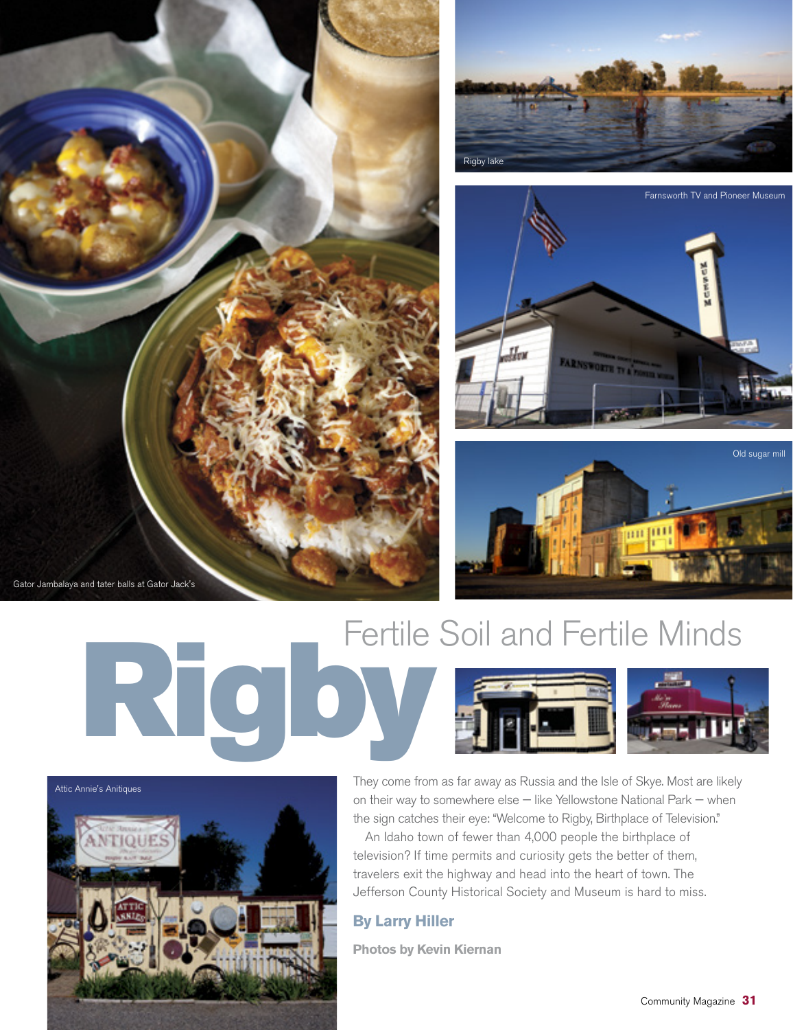







Fertile Soil and Fertile Minds<br>Records of the Soil and Fertile Minds<br>Rights of the Rights of the South Street, the Soil and Street in the Soil and Street in the Soil and Street in the Soil and Street in the Soil and Street



They come from as far away as Russia and the Isle of Skye. Most are likely on their way to somewhere else — like Yellowstone National Park — when the sign catches their eye: "Welcome to Rigby, Birthplace of Television."

An Idaho town of fewer than 4,000 people the birthplace of television? If time permits and curiosity gets the better of them, travelers exit the highway and head into the heart of town. The Jefferson County Historical Society and Museum is hard to miss.

## **By Larry Hiller**

**Photos by Kevin Kiernan**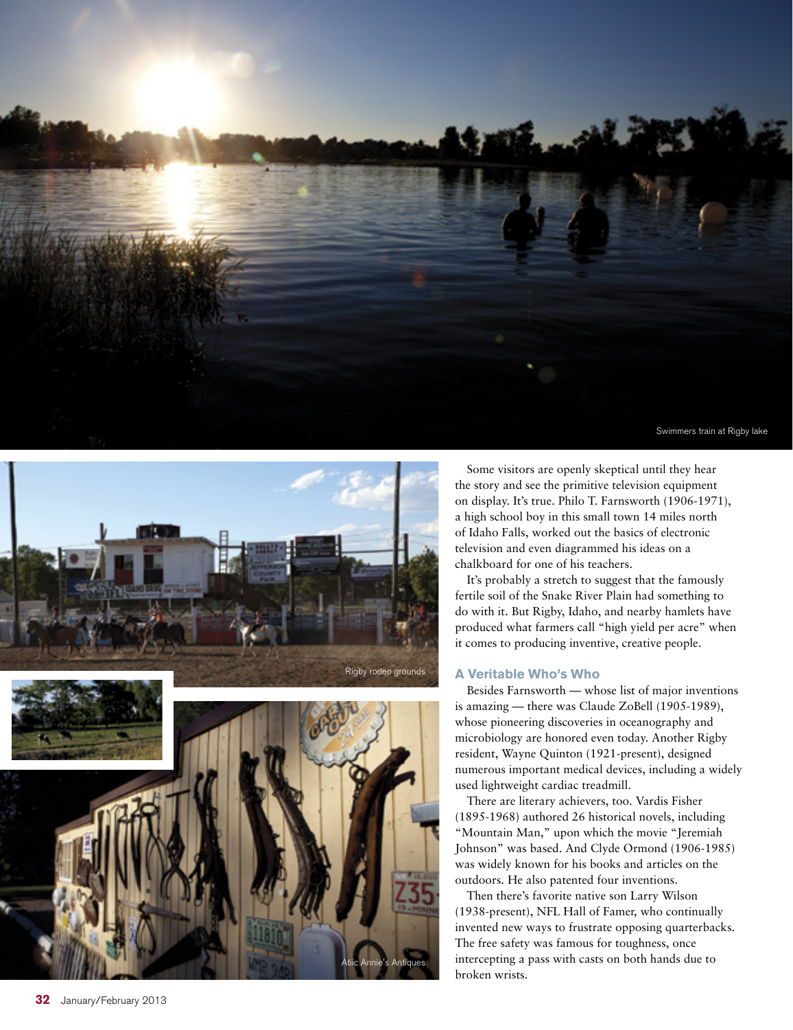





Some visitors are openly skeptical until they hear the story and see the primitive television equipment on display. It's true. Philo T. Farnsworth (1906-1971), a high school boy in this small town 14 miles north of Idaho Falls, worked out the basics of electronic television and even diagrammed his ideas on a chalkboard for one of his teachers.

It's probably a stretch to suggest that the famously fertile soil of the Snake River Plain had something to do with it. But Rigby, Idaho, and nearby hamlets have produced what farmers call "high yield per acre" when it comes to producing inventive, creative people.

## **A Veritable Who's Who**

Besides Farnsworth — whose list of major inventions is amazing — there was Claude ZoBell (1905-1989), whose pioneering discoveries in oceanography and microbiology are honored even today. Another Rigby resident, Wayne Quinton (1921-present), designed numerous important medical devices, including a widely used lightweight cardiac treadmill.

There are literary achievers, too. Vardis Fisher (1895-1968) authored 26 historical novels, including "Mountain Man," upon which the movie "Jeremiah Johnson" was based. And Clyde Ormond (1906-1985) was widely known for his books and articles on the outdoors. He also patented four inventions.

Then there's favorite native son Larry Wilson (1938-present), NFL Hall of Famer, who continually invented new ways to frustrate opposing quarterbacks. The free safety was famous for toughness, once intercepting a pass with casts on both hands due to broken wrists.